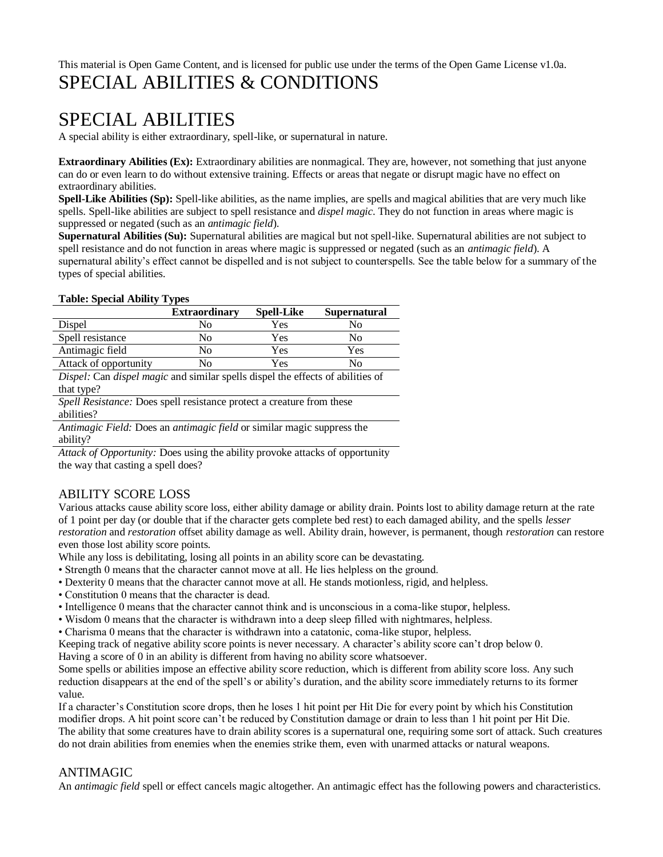# This material is Open Game Content, and is licensed for public use under the terms of the Open Game License v1.0a. SPECIAL ABILITIES & CONDITIONS

# SPECIAL ABILITIES

A special ability is either extraordinary, spell-like, or supernatural in nature.

**Extraordinary Abilities (Ex):** Extraordinary abilities are nonmagical. They are, however, not something that just anyone can do or even learn to do without extensive training. Effects or areas that negate or disrupt magic have no effect on extraordinary abilities.

**Spell-Like Abilities (Sp):** Spell-like abilities, as the name implies, are spells and magical abilities that are very much like spells. Spell-like abilities are subject to spell resistance and *dispel magic*. They do not function in areas where magic is suppressed or negated (such as an *antimagic field*).

**Supernatural Abilities (Su):** Supernatural abilities are magical but not spell-like. Supernatural abilities are not subject to spell resistance and do not function in areas where magic is suppressed or negated (such as an *antimagic field*). A supernatural ability's effect cannot be dispelled and is not subject to counterspells. See the table below for a summary of the types of special abilities.

#### **Table: Special Ability Types**

|                       | <b>Extraordinary</b> | <b>Spell-Like</b> | <b>Supernatural</b> |
|-----------------------|----------------------|-------------------|---------------------|
| Dispel                | Nο                   | Yes               | NΟ                  |
| Spell resistance      | Nο                   | Yes               | Nο                  |
| Antimagic field       | NΟ                   | Yes               | Yes                 |
| Attack of opportunity | חצ                   | Yes               | N۵                  |

*Dispel:* Can *dispel magic* and similar spells dispel the effects of abilities of that type?

*Spell Resistance:* Does spell resistance protect a creature from these abilities?

*Antimagic Field:* Does an *antimagic field* or similar magic suppress the ability?

*Attack of Opportunity:* Does using the ability provoke attacks of opportunity the way that casting a spell does?

# ABILITY SCORE LOSS

Various attacks cause ability score loss, either ability damage or ability drain. Points lost to ability damage return at the rate of 1 point per day (or double that if the character gets complete bed rest) to each damaged ability, and the spells *lesser restoration* and *restoration* offset ability damage as well. Ability drain, however, is permanent, though *restoration* can restore even those lost ability score points.

While any loss is debilitating, losing all points in an ability score can be devastating.

- Strength 0 means that the character cannot move at all. He lies helpless on the ground.
- Dexterity 0 means that the character cannot move at all. He stands motionless, rigid, and helpless.
- Constitution 0 means that the character is dead.
- Intelligence 0 means that the character cannot think and is unconscious in a coma-like stupor, helpless.
- Wisdom 0 means that the character is withdrawn into a deep sleep filled with nightmares, helpless.
- Charisma 0 means that the character is withdrawn into a catatonic, coma-like stupor, helpless.

Keeping track of negative ability score points is never necessary. A character's ability score can't drop below 0.

Having a score of 0 in an ability is different from having no ability score whatsoever.

Some spells or abilities impose an effective ability score reduction, which is different from ability score loss. Any such reduction disappears at the end of the spell's or ability's duration, and the ability score immediately returns to its former value.

If a character's Constitution score drops, then he loses 1 hit point per Hit Die for every point by which his Constitution modifier drops. A hit point score can't be reduced by Constitution damage or drain to less than 1 hit point per Hit Die. The ability that some creatures have to drain ability scores is a supernatural one, requiring some sort of attack. Such creatures do not drain abilities from enemies when the enemies strike them, even with unarmed attacks or natural weapons.

# ANTIMAGIC

An *antimagic field* spell or effect cancels magic altogether. An antimagic effect has the following powers and characteristics.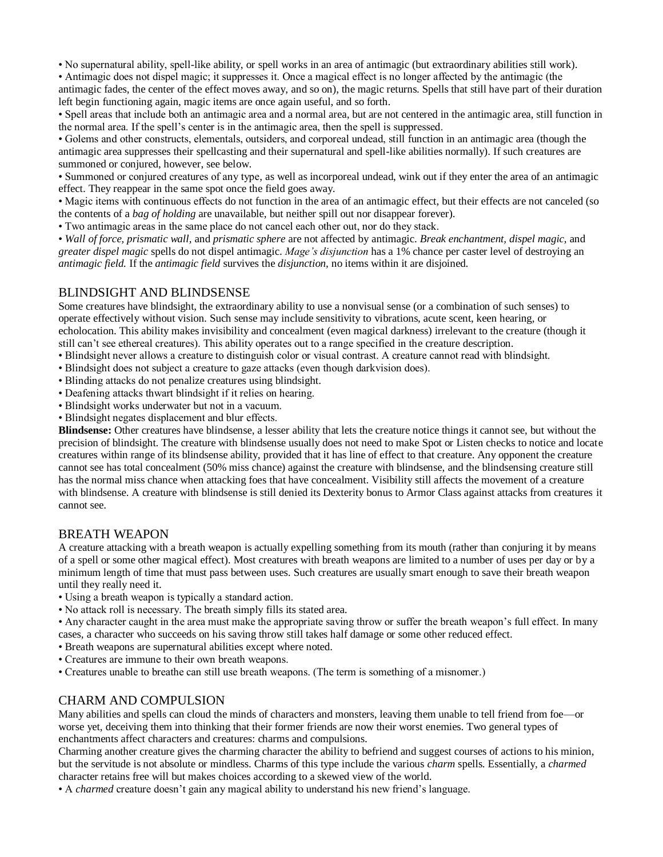• No supernatural ability, spell-like ability, or spell works in an area of antimagic (but extraordinary abilities still work).

• Antimagic does not dispel magic; it suppresses it. Once a magical effect is no longer affected by the antimagic (the antimagic fades, the center of the effect moves away, and so on), the magic returns. Spells that still have part of their duration left begin functioning again, magic items are once again useful, and so forth.

• Spell areas that include both an antimagic area and a normal area, but are not centered in the antimagic area, still function in the normal area. If the spell's center is in the antimagic area, then the spell is suppressed.

• Golems and other constructs, elementals, outsiders, and corporeal undead, still function in an antimagic area (though the antimagic area suppresses their spellcasting and their supernatural and spell-like abilities normally). If such creatures are summoned or conjured, however, see below.

• Summoned or conjured creatures of any type, as well as incorporeal undead, wink out if they enter the area of an antimagic effect. They reappear in the same spot once the field goes away.

• Magic items with continuous effects do not function in the area of an antimagic effect, but their effects are not canceled (so the contents of a *bag of holding* are unavailable, but neither spill out nor disappear forever).

• Two antimagic areas in the same place do not cancel each other out, nor do they stack.

• *Wall of force, prismatic wall,* and *prismatic sphere* are not affected by antimagic. *Break enchantment, dispel magic,* and *greater dispel magic* spells do not dispel antimagic. *Mage's disjunction* has a 1% chance per caster level of destroying an *antimagic field.* If the *antimagic field* survives the *disjunction,* no items within it are disjoined.

# BLINDSIGHT AND BLINDSENSE

Some creatures have blindsight, the extraordinary ability to use a nonvisual sense (or a combination of such senses) to operate effectively without vision. Such sense may include sensitivity to vibrations, acute scent, keen hearing, or echolocation. This ability makes invisibility and concealment (even magical darkness) irrelevant to the creature (though it still can't see ethereal creatures). This ability operates out to a range specified in the creature description.

- Blindsight never allows a creature to distinguish color or visual contrast. A creature cannot read with blindsight.
- Blindsight does not subject a creature to gaze attacks (even though darkvision does).
- Blinding attacks do not penalize creatures using blindsight.
- Deafening attacks thwart blindsight if it relies on hearing.
- Blindsight works underwater but not in a vacuum.
- Blindsight negates displacement and blur effects.

**Blindsense:** Other creatures have blindsense, a lesser ability that lets the creature notice things it cannot see, but without the precision of blindsight. The creature with blindsense usually does not need to make Spot or Listen checks to notice and locate creatures within range of its blindsense ability, provided that it has line of effect to that creature. Any opponent the creature cannot see has total concealment (50% miss chance) against the creature with blindsense, and the blindsensing creature still has the normal miss chance when attacking foes that have concealment. Visibility still affects the movement of a creature with blindsense. A creature with blindsense is still denied its Dexterity bonus to Armor Class against attacks from creatures it cannot see.

# BREATH WEAPON

A creature attacking with a breath weapon is actually expelling something from its mouth (rather than conjuring it by means of a spell or some other magical effect). Most creatures with breath weapons are limited to a number of uses per day or by a minimum length of time that must pass between uses. Such creatures are usually smart enough to save their breath weapon until they really need it.

- Using a breath weapon is typically a standard action.
- No attack roll is necessary. The breath simply fills its stated area.

• Any character caught in the area must make the appropriate saving throw or suffer the breath weapon's full effect. In many cases, a character who succeeds on his saving throw still takes half damage or some other reduced effect.

- Breath weapons are supernatural abilities except where noted.
- Creatures are immune to their own breath weapons.
- Creatures unable to breathe can still use breath weapons. (The term is something of a misnomer.)

# CHARM AND COMPULSION

Many abilities and spells can cloud the minds of characters and monsters, leaving them unable to tell friend from foe—or worse yet, deceiving them into thinking that their former friends are now their worst enemies. Two general types of enchantments affect characters and creatures: charms and compulsions.

Charming another creature gives the charming character the ability to befriend and suggest courses of actions to his minion, but the servitude is not absolute or mindless. Charms of this type include the various *charm* spells. Essentially, a *charmed*  character retains free will but makes choices according to a skewed view of the world.

• A *charmed* creature doesn't gain any magical ability to understand his new friend's language.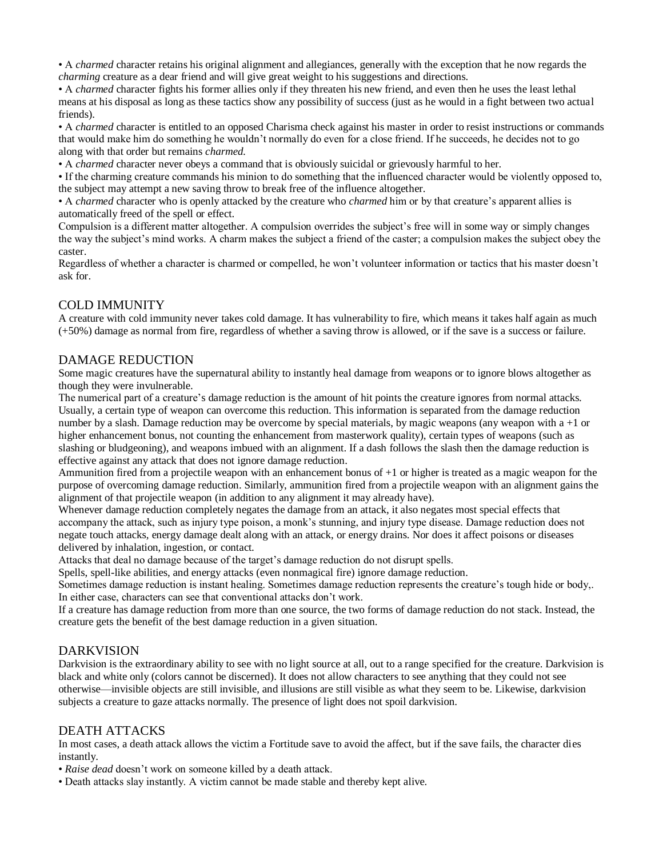• A *charmed* character retains his original alignment and allegiances, generally with the exception that he now regards the *charming* creature as a dear friend and will give great weight to his suggestions and directions.

• A *charmed* character fights his former allies only if they threaten his new friend, and even then he uses the least lethal means at his disposal as long as these tactics show any possibility of success (just as he would in a fight between two actual friends).

• A *charmed* character is entitled to an opposed Charisma check against his master in order to resist instructions or commands that would make him do something he wouldn't normally do even for a close friend. If he succeeds, he decides not to go along with that order but remains *charmed.*

• A *charmed* character never obeys a command that is obviously suicidal or grievously harmful to her.

• If the charming creature commands his minion to do something that the influenced character would be violently opposed to, the subject may attempt a new saving throw to break free of the influence altogether.

• A *charmed* character who is openly attacked by the creature who *charmed* him or by that creature's apparent allies is automatically freed of the spell or effect.

Compulsion is a different matter altogether. A compulsion overrides the subject's free will in some way or simply changes the way the subject's mind works. A charm makes the subject a friend of the caster; a compulsion makes the subject obey the caster.

Regardless of whether a character is charmed or compelled, he won't volunteer information or tactics that his master doesn't ask for.

# COLD IMMUNITY

A creature with cold immunity never takes cold damage. It has vulnerability to fire, which means it takes half again as much (+50%) damage as normal from fire, regardless of whether a saving throw is allowed, or if the save is a success or failure.

# DAMAGE REDUCTION

Some magic creatures have the supernatural ability to instantly heal damage from weapons or to ignore blows altogether as though they were invulnerable.

The numerical part of a creature's damage reduction is the amount of hit points the creature ignores from normal attacks. Usually, a certain type of weapon can overcome this reduction. This information is separated from the damage reduction number by a slash. Damage reduction may be overcome by special materials, by magic weapons (any weapon with a +1 or higher enhancement bonus, not counting the enhancement from masterwork quality), certain types of weapons (such as slashing or bludgeoning), and weapons imbued with an alignment. If a dash follows the slash then the damage reduction is effective against any attack that does not ignore damage reduction.

Ammunition fired from a projectile weapon with an enhancement bonus of  $+1$  or higher is treated as a magic weapon for the purpose of overcoming damage reduction. Similarly, ammunition fired from a projectile weapon with an alignment gains the alignment of that projectile weapon (in addition to any alignment it may already have).

Whenever damage reduction completely negates the damage from an attack, it also negates most special effects that accompany the attack, such as injury type poison, a monk's stunning, and injury type disease. Damage reduction does not negate touch attacks, energy damage dealt along with an attack, or energy drains. Nor does it affect poisons or diseases delivered by inhalation, ingestion, or contact.

Attacks that deal no damage because of the target's damage reduction do not disrupt spells.

Spells, spell-like abilities, and energy attacks (even nonmagical fire) ignore damage reduction.

Sometimes damage reduction is instant healing. Sometimes damage reduction represents the creature's tough hide or body,. In either case, characters can see that conventional attacks don't work.

If a creature has damage reduction from more than one source, the two forms of damage reduction do not stack. Instead, the creature gets the benefit of the best damage reduction in a given situation.

# DARKVISION

Darkvision is the extraordinary ability to see with no light source at all, out to a range specified for the creature. Darkvision is black and white only (colors cannot be discerned). It does not allow characters to see anything that they could not see otherwise—invisible objects are still invisible, and illusions are still visible as what they seem to be. Likewise, darkvision subjects a creature to gaze attacks normally. The presence of light does not spoil darkvision.

# DEATH ATTACKS

In most cases, a death attack allows the victim a Fortitude save to avoid the affect, but if the save fails, the character dies instantly.

• *Raise dead* doesn't work on someone killed by a death attack.

• Death attacks slay instantly. A victim cannot be made stable and thereby kept alive.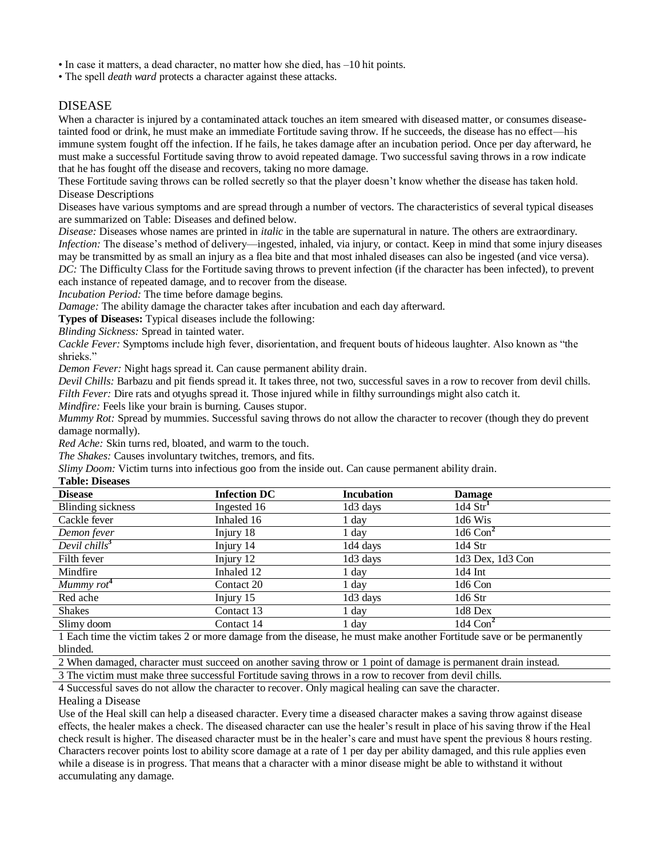• In case it matters, a dead character, no matter how she died, has –10 hit points.

• The spell *death ward* protects a character against these attacks.

# DISEASE

When a character is injured by a contaminated attack touches an item smeared with diseased matter, or consumes diseasetainted food or drink, he must make an immediate Fortitude saving throw. If he succeeds, the disease has no effect—his immune system fought off the infection. If he fails, he takes damage after an incubation period. Once per day afterward, he must make a successful Fortitude saving throw to avoid repeated damage. Two successful saving throws in a row indicate that he has fought off the disease and recovers, taking no more damage.

These Fortitude saving throws can be rolled secretly so that the player doesn't know whether the disease has taken hold. Disease Descriptions

Diseases have various symptoms and are spread through a number of vectors. The characteristics of several typical diseases are summarized on Table: Diseases and defined below.

*Disease:* Diseases whose names are printed in *italic* in the table are supernatural in nature. The others are extraordinary. *Infection:* The disease's method of delivery—ingested, inhaled, via injury, or contact. Keep in mind that some injury diseases may be transmitted by as small an injury as a flea bite and that most inhaled diseases can also be ingested (and vice versa). *DC:* The Difficulty Class for the Fortitude saving throws to prevent infection (if the character has been infected), to prevent

each instance of repeated damage, and to recover from the disease.

*Incubation Period:* The time before damage begins.

*Damage:* The ability damage the character takes after incubation and each day afterward.

**Types of Diseases:** Typical diseases include the following:

*Blinding Sickness:* Spread in tainted water.

*Cackle Fever:* Symptoms include high fever, disorientation, and frequent bouts of hideous laughter. Also known as "the shrieks."

*Demon Fever:* Night hags spread it. Can cause permanent ability drain.

*Devil Chills:* Barbazu and pit fiends spread it. It takes three, not two, successful saves in a row to recover from devil chills. *Filth Fever:* Dire rats and otyughs spread it. Those injured while in filthy surroundings might also catch it.

*Mindfire:* Feels like your brain is burning. Causes stupor.

*Mummy Rot:* Spread by mummies. Successful saving throws do not allow the character to recover (though they do prevent damage normally).

*Red Ache:* Skin turns red, bloated, and warm to the touch.

*The Shakes:* Causes involuntary twitches, tremors, and fits.

*Slimy Doom:* Victim turns into infectious goo from the inside out. Can cause permanent ability drain.

**Table: Diseases**

| <b>Disease</b>            | <b>Infection DC</b> | <b>Incubation</b> | <b>Damage</b>          |  |
|---------------------------|---------------------|-------------------|------------------------|--|
| Blinding sickness         | Ingested 16         | 1d3 days          | $1d4$ Str <sup>1</sup> |  |
| Cackle fever              | Inhaled 16          | 1 day             | 1d6 Wis                |  |
| Demon fever               | Injury 18           | 1 day             | $1d6$ Con <sup>2</sup> |  |
| Devil chills <sup>3</sup> | Injury 14           | 1d4 days          | 1d4 Str                |  |
| Filth fever               | Injury 12           | 1d3 days          | 1d3 Dex, 1d3 Con       |  |
| Mindfire                  | Inhaled 12          | 1 day             | $1d4$ Int              |  |
| Mummy rot <sup>4</sup>    | Contact 20          | 1 day             | 1d6 Con                |  |
| Red ache                  | Injury 15           | 1d3 days          | $1d6$ Str              |  |
| <b>Shakes</b>             | Contact 13          | 1 day             | 1d8 Dex                |  |
| Slimy doom                | Contact 14          | 1 day             | 1d4 $Con2$             |  |

1 Each time the victim takes 2 or more damage from the disease, he must make another Fortitude save or be permanently blinded.

2 When damaged, character must succeed on another saving throw or 1 point of damage is permanent drain instead.

3 The victim must make three successful Fortitude saving throws in a row to recover from devil chills.

4 Successful saves do not allow the character to recover. Only magical healing can save the character. Healing a Disease

Use of the Heal skill can help a diseased character. Every time a diseased character makes a saving throw against disease effects, the healer makes a check. The diseased character can use the healer's result in place of his saving throw if the Heal check result is higher. The diseased character must be in the healer's care and must have spent the previous 8 hours resting. Characters recover points lost to ability score damage at a rate of 1 per day per ability damaged, and this rule applies even while a disease is in progress. That means that a character with a minor disease might be able to withstand it without accumulating any damage.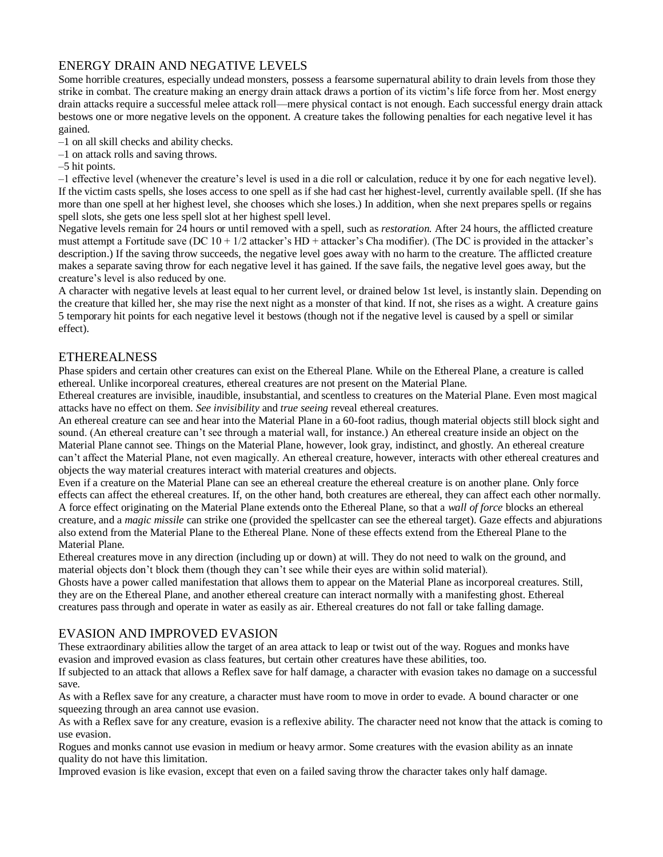# ENERGY DRAIN AND NEGATIVE LEVELS

Some horrible creatures, especially undead monsters, possess a fearsome supernatural ability to drain levels from those they strike in combat. The creature making an energy drain attack draws a portion of its victim's life force from her. Most energy drain attacks require a successful melee attack roll—mere physical contact is not enough. Each successful energy drain attack bestows one or more negative levels on the opponent. A creature takes the following penalties for each negative level it has gained.

–1 on all skill checks and ability checks.

- –1 on attack rolls and saving throws.
- –5 hit points.

–1 effective level (whenever the creature's level is used in a die roll or calculation, reduce it by one for each negative level). If the victim casts spells, she loses access to one spell as if she had cast her highest-level, currently available spell. (If she has more than one spell at her highest level, she chooses which she loses.) In addition, when she next prepares spells or regains spell slots, she gets one less spell slot at her highest spell level.

Negative levels remain for 24 hours or until removed with a spell, such as *restoration.* After 24 hours, the afflicted creature must attempt a Fortitude save (DC 10 + 1/2 attacker's HD + attacker's Cha modifier). (The DC is provided in the attacker's description.) If the saving throw succeeds, the negative level goes away with no harm to the creature. The afflicted creature makes a separate saving throw for each negative level it has gained. If the save fails, the negative level goes away, but the creature's level is also reduced by one.

A character with negative levels at least equal to her current level, or drained below 1st level, is instantly slain. Depending on the creature that killed her, she may rise the next night as a monster of that kind. If not, she rises as a wight. A creature gains 5 temporary hit points for each negative level it bestows (though not if the negative level is caused by a spell or similar effect).

# ETHEREALNESS

Phase spiders and certain other creatures can exist on the Ethereal Plane. While on the Ethereal Plane, a creature is called ethereal. Unlike incorporeal creatures, ethereal creatures are not present on the Material Plane.

Ethereal creatures are invisible, inaudible, insubstantial, and scentless to creatures on the Material Plane. Even most magical attacks have no effect on them. *See invisibility* and *true seeing* reveal ethereal creatures.

An ethereal creature can see and hear into the Material Plane in a 60-foot radius, though material objects still block sight and sound. (An ethereal creature can't see through a material wall, for instance.) An ethereal creature inside an object on the Material Plane cannot see. Things on the Material Plane, however, look gray, indistinct, and ghostly. An ethereal creature can't affect the Material Plane, not even magically. An ethereal creature, however, interacts with other ethereal creatures and objects the way material creatures interact with material creatures and objects.

Even if a creature on the Material Plane can see an ethereal creature the ethereal creature is on another plane. Only force effects can affect the ethereal creatures. If, on the other hand, both creatures are ethereal, they can affect each other normally. A force effect originating on the Material Plane extends onto the Ethereal Plane, so that a *wall of force* blocks an ethereal creature, and a *magic missile* can strike one (provided the spellcaster can see the ethereal target). Gaze effects and abjurations also extend from the Material Plane to the Ethereal Plane. None of these effects extend from the Ethereal Plane to the Material Plane.

Ethereal creatures move in any direction (including up or down) at will. They do not need to walk on the ground, and material objects don't block them (though they can't see while their eyes are within solid material).

Ghosts have a power called manifestation that allows them to appear on the Material Plane as incorporeal creatures. Still, they are on the Ethereal Plane, and another ethereal creature can interact normally with a manifesting ghost. Ethereal creatures pass through and operate in water as easily as air. Ethereal creatures do not fall or take falling damage.

# EVASION AND IMPROVED EVASION

These extraordinary abilities allow the target of an area attack to leap or twist out of the way. Rogues and monks have evasion and improved evasion as class features, but certain other creatures have these abilities, too.

If subjected to an attack that allows a Reflex save for half damage, a character with evasion takes no damage on a successful save.

As with a Reflex save for any creature, a character must have room to move in order to evade. A bound character or one squeezing through an area cannot use evasion.

As with a Reflex save for any creature, evasion is a reflexive ability. The character need not know that the attack is coming to use evasion.

Rogues and monks cannot use evasion in medium or heavy armor. Some creatures with the evasion ability as an innate quality do not have this limitation.

Improved evasion is like evasion, except that even on a failed saving throw the character takes only half damage.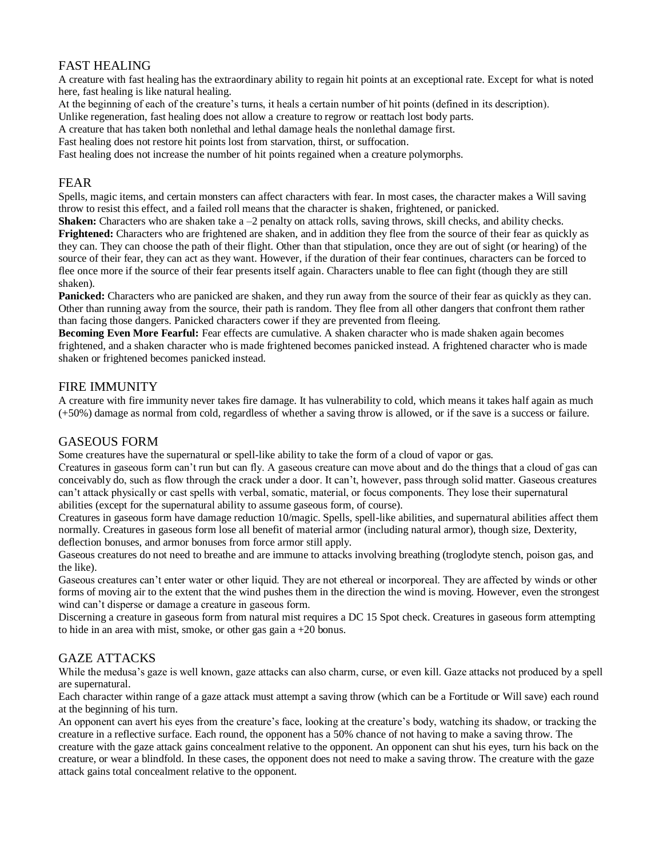# FAST HEALING

A creature with fast healing has the extraordinary ability to regain hit points at an exceptional rate. Except for what is noted here, fast healing is like natural healing.

At the beginning of each of the creature's turns, it heals a certain number of hit points (defined in its description).

Unlike regeneration, fast healing does not allow a creature to regrow or reattach lost body parts.

A creature that has taken both nonlethal and lethal damage heals the nonlethal damage first.

Fast healing does not restore hit points lost from starvation, thirst, or suffocation.

Fast healing does not increase the number of hit points regained when a creature polymorphs.

# FEAR

Spells, magic items, and certain monsters can affect characters with fear. In most cases, the character makes a Will saving throw to resist this effect, and a failed roll means that the character is shaken, frightened, or panicked.

**Shaken:** Characters who are shaken take a  $-2$  penalty on attack rolls, saving throws, skill checks, and ability checks. **Frightened:** Characters who are frightened are shaken, and in addition they flee from the source of their fear as quickly as they can. They can choose the path of their flight. Other than that stipulation, once they are out of sight (or hearing) of the source of their fear, they can act as they want. However, if the duration of their fear continues, characters can be forced to flee once more if the source of their fear presents itself again. Characters unable to flee can fight (though they are still shaken).

**Panicked:** Characters who are panicked are shaken, and they run away from the source of their fear as quickly as they can. Other than running away from the source, their path is random. They flee from all other dangers that confront them rather than facing those dangers. Panicked characters cower if they are prevented from fleeing.

**Becoming Even More Fearful:** Fear effects are cumulative. A shaken character who is made shaken again becomes frightened, and a shaken character who is made frightened becomes panicked instead. A frightened character who is made shaken or frightened becomes panicked instead.

# FIRE IMMUNITY

A creature with fire immunity never takes fire damage. It has vulnerability to cold, which means it takes half again as much (+50%) damage as normal from cold, regardless of whether a saving throw is allowed, or if the save is a success or failure.

# GASEOUS FORM

Some creatures have the supernatural or spell-like ability to take the form of a cloud of vapor or gas.

Creatures in gaseous form can't run but can fly. A gaseous creature can move about and do the things that a cloud of gas can conceivably do, such as flow through the crack under a door. It can't, however, pass through solid matter. Gaseous creatures can't attack physically or cast spells with verbal, somatic, material, or focus components. They lose their supernatural abilities (except for the supernatural ability to assume gaseous form, of course).

Creatures in gaseous form have damage reduction 10/magic. Spells, spell-like abilities, and supernatural abilities affect them normally. Creatures in gaseous form lose all benefit of material armor (including natural armor), though size, Dexterity, deflection bonuses, and armor bonuses from force armor still apply.

Gaseous creatures do not need to breathe and are immune to attacks involving breathing (troglodyte stench, poison gas, and the like).

Gaseous creatures can't enter water or other liquid. They are not ethereal or incorporeal. They are affected by winds or other forms of moving air to the extent that the wind pushes them in the direction the wind is moving. However, even the strongest wind can't disperse or damage a creature in gaseous form.

Discerning a creature in gaseous form from natural mist requires a DC 15 Spot check. Creatures in gaseous form attempting to hide in an area with mist, smoke, or other gas gain a +20 bonus.

# GAZE ATTACKS

While the medusa's gaze is well known, gaze attacks can also charm, curse, or even kill. Gaze attacks not produced by a spell are supernatural.

Each character within range of a gaze attack must attempt a saving throw (which can be a Fortitude or Will save) each round at the beginning of his turn.

An opponent can avert his eyes from the creature's face, looking at the creature's body, watching its shadow, or tracking the creature in a reflective surface. Each round, the opponent has a 50% chance of not having to make a saving throw. The creature with the gaze attack gains concealment relative to the opponent. An opponent can shut his eyes, turn his back on the creature, or wear a blindfold. In these cases, the opponent does not need to make a saving throw. The creature with the gaze attack gains total concealment relative to the opponent.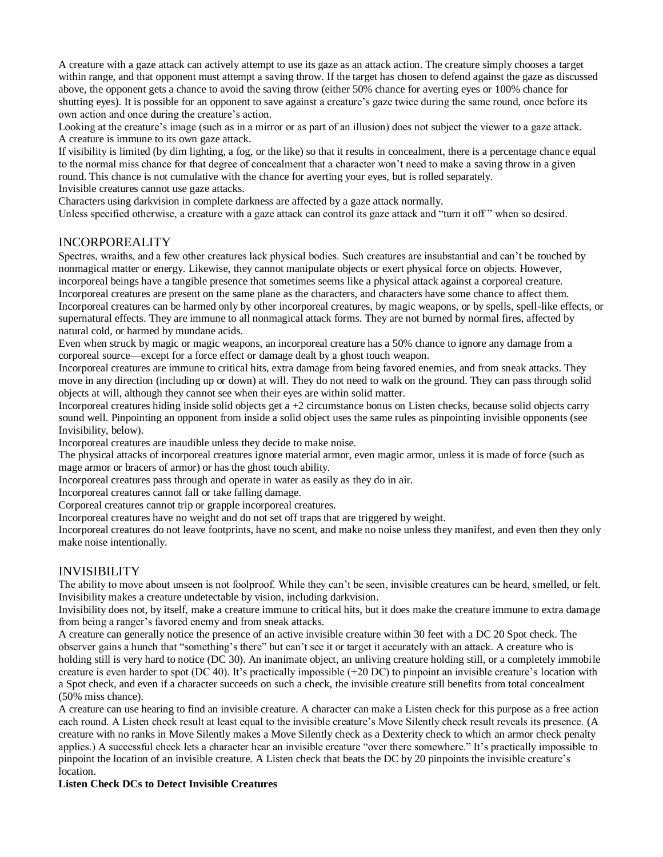A creature with a gaze attack can actively attempt to use its gaze as an attack action. The creature simply chooses a target within range, and that opponent must attempt a saving throw. If the target has chosen to defend against the gaze as discussed above, the opponent gets a chance to avoid the saving throw (either 50% chance for averting eyes or 100% chance for shutting eyes). It is possible for an opponent to save against a creature's gaze twice during the same round, once before its own action and once during the creature's action.

Looking at the creature's image (such as in a mirror or as part of an illusion) does not subject the viewer to a gaze attack. A creature is immune to its own gaze attack.

If visibility is limited (by dim lighting, a fog, or the like) so that it results in concealment, there is a percentage chance equal to the normal miss chance for that degree of concealment that a character won't need to make a saving throw in a given round. This chance is not cumulative with the chance for averting your eyes, but is rolled separately. Invisible creatures cannot use gaze attacks.

Characters using darkvision in complete darkness are affected by a gaze attack normally.

Unless specified otherwise, a creature with a gaze attack can control its gaze attack and "turn it off " when so desired.

# INCORPOREALITY

Spectres, wraiths, and a few other creatures lack physical bodies. Such creatures are insubstantial and can't be touched by nonmagical matter or energy. Likewise, they cannot manipulate objects or exert physical force on objects. However, incorporeal beings have a tangible presence that sometimes seems like a physical attack against a corporeal creature. Incorporeal creatures are present on the same plane as the characters, and characters have some chance to affect them. Incorporeal creatures can be harmed only by other incorporeal creatures, by magic weapons, or by spells, spell-like effects, or supernatural effects. They are immune to all nonmagical attack forms. They are not burned by normal fires, affected by natural cold, or harmed by mundane acids.

Even when struck by magic or magic weapons, an incorporeal creature has a 50% chance to ignore any damage from a corporeal source—except for a force effect or damage dealt by a ghost touch weapon.

Incorporeal creatures are immune to critical hits, extra damage from being favored enemies, and from sneak attacks. They move in any direction (including up or down) at will. They do not need to walk on the ground. They can pass through solid objects at will, although they cannot see when their eyes are within solid matter.

Incorporeal creatures hiding inside solid objects get a +2 circumstance bonus on Listen checks, because solid objects carry sound well. Pinpointing an opponent from inside a solid object uses the same rules as pinpointing invisible opponents (see Invisibility, below).

Incorporeal creatures are inaudible unless they decide to make noise.

The physical attacks of incorporeal creatures ignore material armor, even magic armor, unless it is made of force (such as mage armor or bracers of armor) or has the ghost touch ability.

Incorporeal creatures pass through and operate in water as easily as they do in air.

Incorporeal creatures cannot fall or take falling damage.

Corporeal creatures cannot trip or grapple incorporeal creatures.

Incorporeal creatures have no weight and do not set off traps that are triggered by weight.

Incorporeal creatures do not leave footprints, have no scent, and make no noise unless they manifest, and even then they only make noise intentionally.

# INVISIBILITY

The ability to move about unseen is not foolproof. While they can't be seen, invisible creatures can be heard, smelled, or felt. Invisibility makes a creature undetectable by vision, including darkvision.

Invisibility does not, by itself, make a creature immune to critical hits, but it does make the creature immune to extra damage from being a ranger's favored enemy and from sneak attacks.

A creature can generally notice the presence of an active invisible creature within 30 feet with a DC 20 Spot check. The observer gains a hunch that "something's there" but can't see it or target it accurately with an attack. A creature who is holding still is very hard to notice (DC 30). An inanimate object, an unliving creature holding still, or a completely immobile creature is even harder to spot (DC 40). It's practically impossible (+20 DC) to pinpoint an invisible creature's location with a Spot check, and even if a character succeeds on such a check, the invisible creature still benefits from total concealment (50% miss chance).

A creature can use hearing to find an invisible creature. A character can make a Listen check for this purpose as a free action each round. A Listen check result at least equal to the invisible creature's Move Silently check result reveals its presence. (A creature with no ranks in Move Silently makes a Move Silently check as a Dexterity check to which an armor check penalty applies.) A successful check lets a character hear an invisible creature "over there somewhere." It's practically impossible to pinpoint the location of an invisible creature. A Listen check that beats the DC by 20 pinpoints the invisible creature's location.

#### **Listen Check DCs to Detect Invisible Creatures**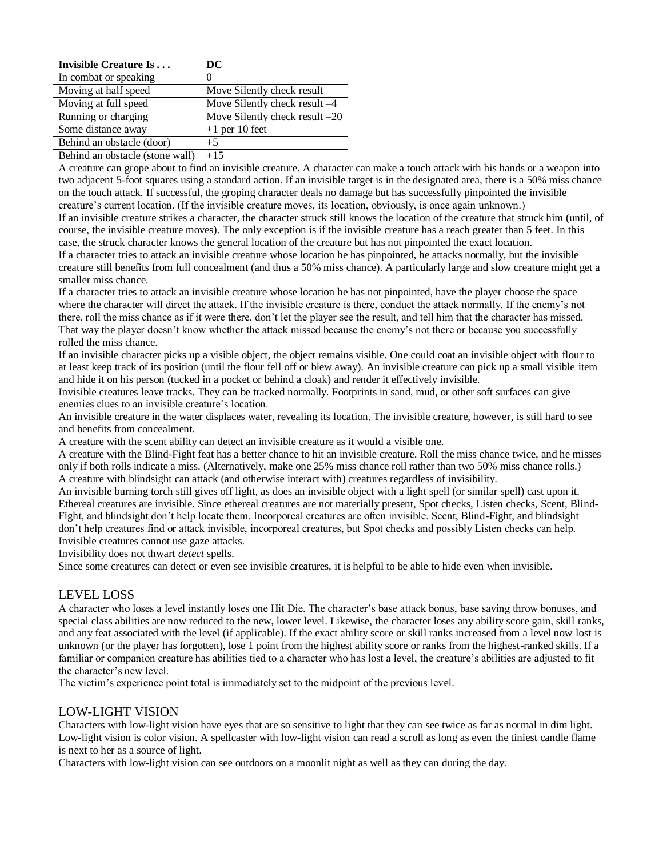| Invisible Creature Is                   | DС                             |
|-----------------------------------------|--------------------------------|
| In combat or speaking                   |                                |
| Moving at half speed                    | Move Silently check result     |
| Moving at full speed                    | Move Silently check result -4  |
| Running or charging                     | Move Silently check result -20 |
| Some distance away                      | $+1$ per 10 feet               |
| Behind an obstacle (door)               | $+5$                           |
| Dekind on choicele <i>(stems</i> cuell) | .15                            |

Behind an obstacle (stone wall)  $+15$ 

A creature can grope about to find an invisible creature. A character can make a touch attack with his hands or a weapon into two adjacent 5-foot squares using a standard action. If an invisible target is in the designated area, there is a 50% miss chance on the touch attack. If successful, the groping character deals no damage but has successfully pinpointed the invisible creature's current location. (If the invisible creature moves, its location, obviously, is once again unknown.)

If an invisible creature strikes a character, the character struck still knows the location of the creature that struck him (until, of course, the invisible creature moves). The only exception is if the invisible creature has a reach greater than 5 feet. In this case, the struck character knows the general location of the creature but has not pinpointed the exact location.

If a character tries to attack an invisible creature whose location he has pinpointed, he attacks normally, but the invisible creature still benefits from full concealment (and thus a 50% miss chance). A particularly large and slow creature might get a smaller miss chance.

If a character tries to attack an invisible creature whose location he has not pinpointed, have the player choose the space where the character will direct the attack. If the invisible creature is there, conduct the attack normally. If the enemy's not there, roll the miss chance as if it were there, don't let the player see the result, and tell him that the character has missed. That way the player doesn't know whether the attack missed because the enemy's not there or because you successfully rolled the miss chance.

If an invisible character picks up a visible object, the object remains visible. One could coat an invisible object with flour to at least keep track of its position (until the flour fell off or blew away). An invisible creature can pick up a small visible item and hide it on his person (tucked in a pocket or behind a cloak) and render it effectively invisible.

Invisible creatures leave tracks. They can be tracked normally. Footprints in sand, mud, or other soft surfaces can give enemies clues to an invisible creature's location.

An invisible creature in the water displaces water, revealing its location. The invisible creature, however, is still hard to see and benefits from concealment.

A creature with the scent ability can detect an invisible creature as it would a visible one.

A creature with the Blind-Fight feat has a better chance to hit an invisible creature. Roll the miss chance twice, and he misses only if both rolls indicate a miss. (Alternatively, make one 25% miss chance roll rather than two 50% miss chance rolls.) A creature with blindsight can attack (and otherwise interact with) creatures regardless of invisibility.

An invisible burning torch still gives off light, as does an invisible object with a light spell (or similar spell) cast upon it. Ethereal creatures are invisible. Since ethereal creatures are not materially present, Spot checks, Listen checks, Scent, Blind-Fight, and blindsight don't help locate them. Incorporeal creatures are often invisible. Scent, Blind-Fight, and blindsight don't help creatures find or attack invisible, incorporeal creatures, but Spot checks and possibly Listen checks can help. Invisible creatures cannot use gaze attacks.

Invisibility does not thwart *detect* spells.

Since some creatures can detect or even see invisible creatures, it is helpful to be able to hide even when invisible.

# LEVEL LOSS

A character who loses a level instantly loses one Hit Die. The character's base attack bonus, base saving throw bonuses, and special class abilities are now reduced to the new, lower level. Likewise, the character loses any ability score gain, skill ranks, and any feat associated with the level (if applicable). If the exact ability score or skill ranks increased from a level now lost is unknown (or the player has forgotten), lose 1 point from the highest ability score or ranks from the highest-ranked skills. If a familiar or companion creature has abilities tied to a character who has lost a level, the creature's abilities are adjusted to fit the character's new level.

The victim's experience point total is immediately set to the midpoint of the previous level.

#### LOW-LIGHT VISION

Characters with low-light vision have eyes that are so sensitive to light that they can see twice as far as normal in dim light. Low-light vision is color vision. A spellcaster with low-light vision can read a scroll as long as even the tiniest candle flame is next to her as a source of light.

Characters with low-light vision can see outdoors on a moonlit night as well as they can during the day.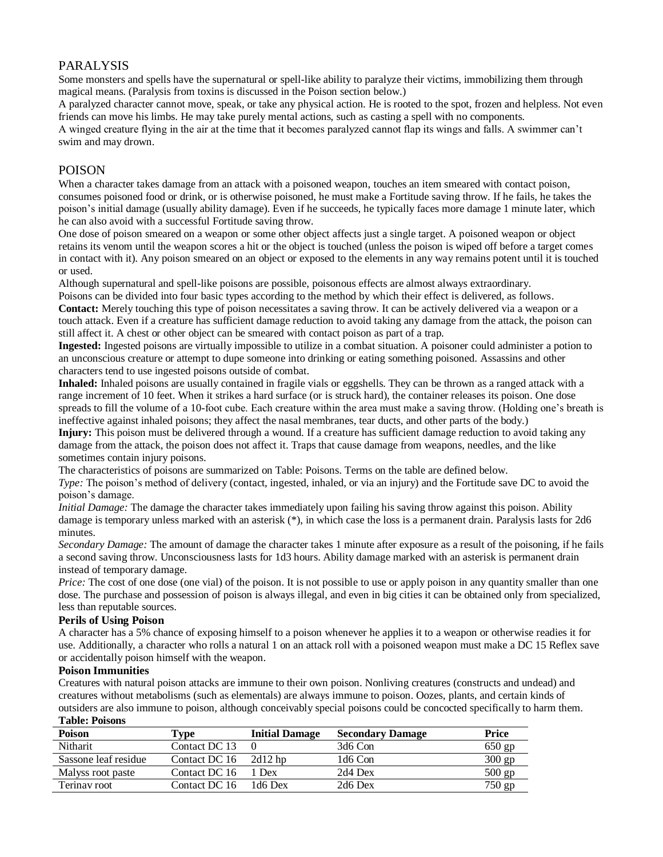# PARALYSIS

Some monsters and spells have the supernatural or spell-like ability to paralyze their victims, immobilizing them through magical means. (Paralysis from toxins is discussed in the Poison section below.)

A paralyzed character cannot move, speak, or take any physical action. He is rooted to the spot, frozen and helpless. Not even friends can move his limbs. He may take purely mental actions, such as casting a spell with no components.

A winged creature flying in the air at the time that it becomes paralyzed cannot flap its wings and falls. A swimmer can't swim and may drown.

# POISON

When a character takes damage from an attack with a poisoned weapon, touches an item smeared with contact poison, consumes poisoned food or drink, or is otherwise poisoned, he must make a Fortitude saving throw. If he fails, he takes the poison's initial damage (usually ability damage). Even if he succeeds, he typically faces more damage 1 minute later, which he can also avoid with a successful Fortitude saving throw.

One dose of poison smeared on a weapon or some other object affects just a single target. A poisoned weapon or object retains its venom until the weapon scores a hit or the object is touched (unless the poison is wiped off before a target comes in contact with it). Any poison smeared on an object or exposed to the elements in any way remains potent until it is touched or used.

Although supernatural and spell-like poisons are possible, poisonous effects are almost always extraordinary.

Poisons can be divided into four basic types according to the method by which their effect is delivered, as follows. **Contact:** Merely touching this type of poison necessitates a saving throw. It can be actively delivered via a weapon or a touch attack. Even if a creature has sufficient damage reduction to avoid taking any damage from the attack, the poison can still affect it. A chest or other object can be smeared with contact poison as part of a trap.

**Ingested:** Ingested poisons are virtually impossible to utilize in a combat situation. A poisoner could administer a potion to an unconscious creature or attempt to dupe someone into drinking or eating something poisoned. Assassins and other characters tend to use ingested poisons outside of combat.

Inhaled: Inhaled poisons are usually contained in fragile vials or eggshells. They can be thrown as a ranged attack with a range increment of 10 feet. When it strikes a hard surface (or is struck hard), the container releases its poison. One dose spreads to fill the volume of a 10-foot cube. Each creature within the area must make a saving throw. (Holding one's breath is ineffective against inhaled poisons; they affect the nasal membranes, tear ducts, and other parts of the body.)

**Injury:** This poison must be delivered through a wound. If a creature has sufficient damage reduction to avoid taking any damage from the attack, the poison does not affect it. Traps that cause damage from weapons, needles, and the like sometimes contain injury poisons.

The characteristics of poisons are summarized on Table: Poisons. Terms on the table are defined below.

*Type:* The poison's method of delivery (contact, ingested, inhaled, or via an injury) and the Fortitude save DC to avoid the poison's damage.

*Initial Damage:* The damage the character takes immediately upon failing his saving throw against this poison. Ability damage is temporary unless marked with an asterisk (\*), in which case the loss is a permanent drain. Paralysis lasts for 2d6 minutes.

*Secondary Damage:* The amount of damage the character takes 1 minute after exposure as a result of the poisoning, if he fails a second saving throw. Unconsciousness lasts for 1d3 hours. Ability damage marked with an asterisk is permanent drain instead of temporary damage.

*Price:* The cost of one dose (one vial) of the poison. It is not possible to use or apply poison in any quantity smaller than one dose. The purchase and possession of poison is always illegal, and even in big cities it can be obtained only from specialized, less than reputable sources.

#### **Perils of Using Poison**

A character has a 5% chance of exposing himself to a poison whenever he applies it to a weapon or otherwise readies it for use. Additionally, a character who rolls a natural 1 on an attack roll with a poisoned weapon must make a DC 15 Reflex save or accidentally poison himself with the weapon.

#### **Poison Immunities**

Creatures with natural poison attacks are immune to their own poison. Nonliving creatures (constructs and undead) and creatures without metabolisms (such as elementals) are always immune to poison. Oozes, plants, and certain kinds of outsiders are also immune to poison, although conceivably special poisons could be concocted specifically to harm them.

| <b>Poison</b>        | Fvpe          | <b>Initial Damage</b> | <b>Secondary Damage</b> | Price    |
|----------------------|---------------|-----------------------|-------------------------|----------|
| Nitharit             | Contact DC 13 |                       | 3d6 Con                 | $650$ gp |
| Sassone leaf residue | Contact DC 16 | 2d12 hp               | 1d6 Con                 | $300$ gp |
| Malyss root paste    | Contact DC 16 | 1 Dex                 | $2d4$ Dex               | $500$ gp |
| Terinav root         | Contact DC 16 | 1d6 Dex               | 2d6 Dex                 | 750 gp   |
|                      |               |                       |                         |          |

# **Table: Poisons**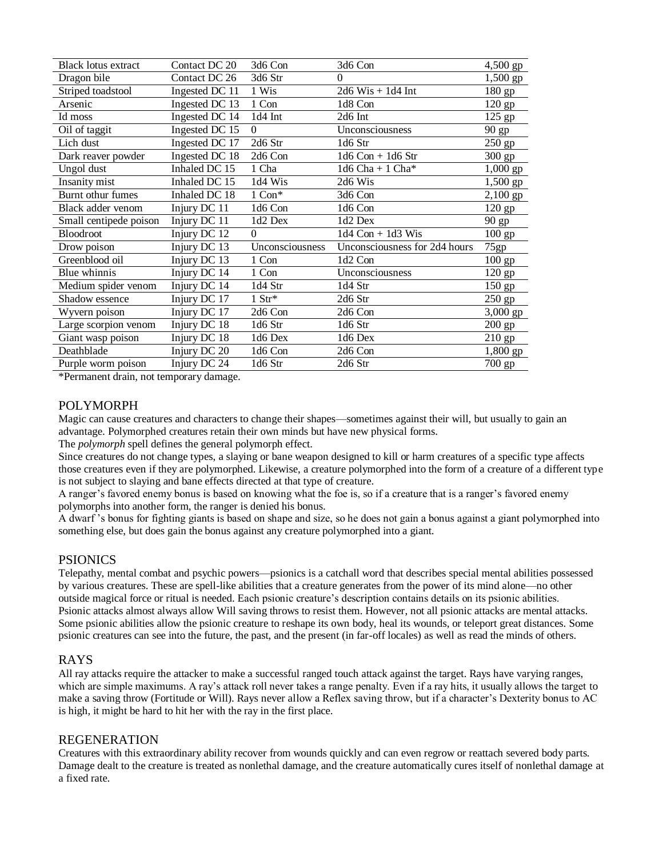| Dragon bile<br>Contact DC 26<br>3d6 Str<br>$\Omega$<br>1,500 gp<br>Striped toadstool<br>Ingested DC 11<br>1 Wis<br>$2d6$ Wis + $1d4$ Int<br>180 gp<br>Ingested DC 13<br>Arsenic<br>1 Con<br>1d8 Con<br>$120$ gp<br>Ingested DC 14<br>1d4 Int<br>2d6 Int<br>Id moss<br>$125$ gp<br>Unconsciousness<br>Ingested DC 15<br>Oil of taggit<br>$\Omega$<br>90 gp<br>Ingested DC 17<br>Lich dust<br>2d6 Str<br>1d6 Str<br>$250$ gp<br>Ingested DC 18<br>2d6 Con<br>$1d6$ Con + $1d6$ Str<br>300 gp<br>Dark reaver powder<br>Inhaled DC 15<br>Ungol dust<br>1 Cha<br>$1d6$ Cha + $1$ Cha $*$<br>1,000 gp | <b>Black lotus extract</b> | Contact DC 20 | 3d6 Con | 3d6 Con | $4,500$ gp |
|-------------------------------------------------------------------------------------------------------------------------------------------------------------------------------------------------------------------------------------------------------------------------------------------------------------------------------------------------------------------------------------------------------------------------------------------------------------------------------------------------------------------------------------------------------------------------------------------------|----------------------------|---------------|---------|---------|------------|
|                                                                                                                                                                                                                                                                                                                                                                                                                                                                                                                                                                                                 |                            |               |         |         |            |
|                                                                                                                                                                                                                                                                                                                                                                                                                                                                                                                                                                                                 |                            |               |         |         |            |
|                                                                                                                                                                                                                                                                                                                                                                                                                                                                                                                                                                                                 |                            |               |         |         |            |
|                                                                                                                                                                                                                                                                                                                                                                                                                                                                                                                                                                                                 |                            |               |         |         |            |
|                                                                                                                                                                                                                                                                                                                                                                                                                                                                                                                                                                                                 |                            |               |         |         |            |
|                                                                                                                                                                                                                                                                                                                                                                                                                                                                                                                                                                                                 |                            |               |         |         |            |
|                                                                                                                                                                                                                                                                                                                                                                                                                                                                                                                                                                                                 |                            |               |         |         |            |
|                                                                                                                                                                                                                                                                                                                                                                                                                                                                                                                                                                                                 |                            |               |         |         |            |
|                                                                                                                                                                                                                                                                                                                                                                                                                                                                                                                                                                                                 | Insanity mist              | Inhaled DC 15 | 1d4 Wis | 2d6 Wis | $1,500$ gp |
| Burnt othur fumes<br>Inhaled DC 18<br>3d6 Con<br>$1$ Con $*$<br>$2,100$ gp                                                                                                                                                                                                                                                                                                                                                                                                                                                                                                                      |                            |               |         |         |            |
| Black adder venom<br>1d6 Con<br>Injury DC 11<br>1d6 Con<br>120 gp                                                                                                                                                                                                                                                                                                                                                                                                                                                                                                                               |                            |               |         |         |            |
| Injury DC 11<br>1d2 Dex<br>Small centipede poison<br>1d2 Dex<br>90 gp                                                                                                                                                                                                                                                                                                                                                                                                                                                                                                                           |                            |               |         |         |            |
| Bloodroot<br>Injury DC 12<br>$1d4$ Con + $1d3$ Wis<br>$\Omega$<br>$100$ gp                                                                                                                                                                                                                                                                                                                                                                                                                                                                                                                      |                            |               |         |         |            |
| Unconsciousness<br>Unconsciousness for 2d4 hours<br>Drow poison<br>Injury DC 13<br>$75$ gp                                                                                                                                                                                                                                                                                                                                                                                                                                                                                                      |                            |               |         |         |            |
| Greenblood oil<br>Injury DC 13<br>1 Con<br>1d2 Con<br>$100$ gp                                                                                                                                                                                                                                                                                                                                                                                                                                                                                                                                  |                            |               |         |         |            |
| Blue whinnis<br>Unconsciousness<br>Injury DC 14<br>1 Con<br>$120$ gp                                                                                                                                                                                                                                                                                                                                                                                                                                                                                                                            |                            |               |         |         |            |
| 1d4 Str<br>Medium spider venom<br>Injury DC 14<br>1d4 Str<br>150 gp                                                                                                                                                                                                                                                                                                                                                                                                                                                                                                                             |                            |               |         |         |            |
| $1 Str*$<br>Shadow essence<br>Injury DC 17<br>2d6 Str<br>250 gp                                                                                                                                                                                                                                                                                                                                                                                                                                                                                                                                 |                            |               |         |         |            |
| Injury DC 17<br>2d6 Con<br>2d6 Con<br>Wyvern poison<br>3,000 gp                                                                                                                                                                                                                                                                                                                                                                                                                                                                                                                                 |                            |               |         |         |            |
| Injury DC 18<br>Large scorpion venom<br>1d6 Str<br>1d6 Str<br>$200$ gp                                                                                                                                                                                                                                                                                                                                                                                                                                                                                                                          |                            |               |         |         |            |
| Injury DC 18<br>1d6 Dex<br>1d6 Dex<br>Giant wasp poison<br>210 gp                                                                                                                                                                                                                                                                                                                                                                                                                                                                                                                               |                            |               |         |         |            |
| Deathblade<br>Injury DC 20<br>1d6 Con<br>2d6 Con<br>1,800 gp                                                                                                                                                                                                                                                                                                                                                                                                                                                                                                                                    |                            |               |         |         |            |
| 1d6 Str<br>2d6 Str<br>Injury DC 24<br>700 gp<br>Purple worm poison                                                                                                                                                                                                                                                                                                                                                                                                                                                                                                                              |                            |               |         |         |            |

\*Permanent drain, not temporary damage.

# POLYMORPH

Magic can cause creatures and characters to change their shapes—sometimes against their will, but usually to gain an advantage. Polymorphed creatures retain their own minds but have new physical forms.

The *polymorph* spell defines the general polymorph effect.

Since creatures do not change types, a slaying or bane weapon designed to kill or harm creatures of a specific type affects those creatures even if they are polymorphed. Likewise, a creature polymorphed into the form of a creature of a different type is not subject to slaying and bane effects directed at that type of creature.

A ranger's favored enemy bonus is based on knowing what the foe is, so if a creature that is a ranger's favored enemy polymorphs into another form, the ranger is denied his bonus.

A dwarf 's bonus for fighting giants is based on shape and size, so he does not gain a bonus against a giant polymorphed into something else, but does gain the bonus against any creature polymorphed into a giant.

# PSIONICS

Telepathy, mental combat and psychic powers—psionics is a catchall word that describes special mental abilities possessed by various creatures. These are spell-like abilities that a creature generates from the power of its mind alone—no other outside magical force or ritual is needed. Each psionic creature's description contains details on its psionic abilities. Psionic attacks almost always allow Will saving throws to resist them. However, not all psionic attacks are mental attacks. Some psionic abilities allow the psionic creature to reshape its own body, heal its wounds, or teleport great distances. Some psionic creatures can see into the future, the past, and the present (in far-off locales) as well as read the minds of others.

# RAYS

All ray attacks require the attacker to make a successful ranged touch attack against the target. Rays have varying ranges, which are simple maximums. A ray's attack roll never takes a range penalty. Even if a ray hits, it usually allows the target to make a saving throw (Fortitude or Will). Rays never allow a Reflex saving throw, but if a character's Dexterity bonus to AC is high, it might be hard to hit her with the ray in the first place.

#### REGENERATION

Creatures with this extraordinary ability recover from wounds quickly and can even regrow or reattach severed body parts. Damage dealt to the creature is treated as nonlethal damage, and the creature automatically cures itself of nonlethal damage at a fixed rate.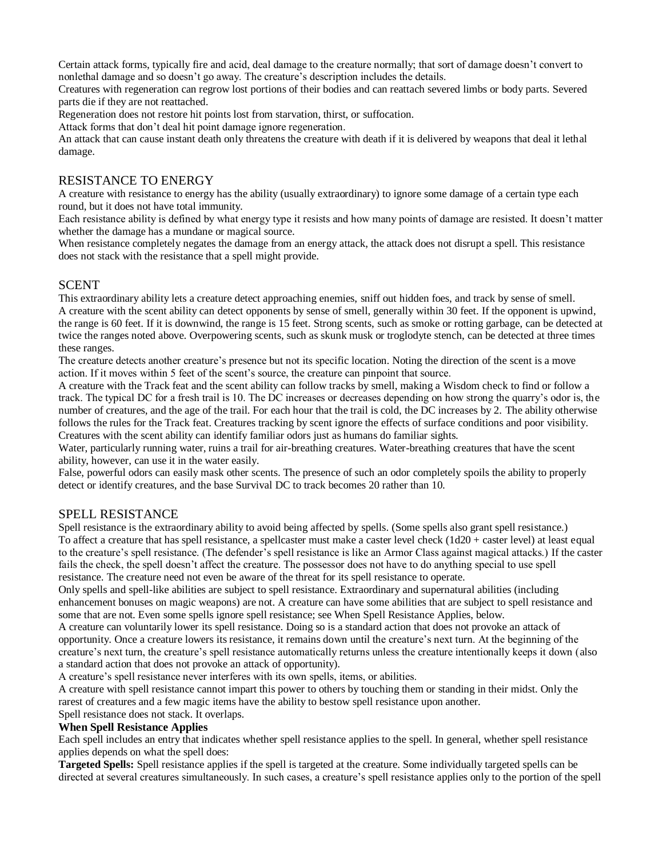Certain attack forms, typically fire and acid, deal damage to the creature normally; that sort of damage doesn't convert to nonlethal damage and so doesn't go away. The creature's description includes the details.

Creatures with regeneration can regrow lost portions of their bodies and can reattach severed limbs or body parts. Severed parts die if they are not reattached.

Regeneration does not restore hit points lost from starvation, thirst, or suffocation.

Attack forms that don't deal hit point damage ignore regeneration.

An attack that can cause instant death only threatens the creature with death if it is delivered by weapons that deal it lethal damage.

# RESISTANCE TO ENERGY

A creature with resistance to energy has the ability (usually extraordinary) to ignore some damage of a certain type each round, but it does not have total immunity.

Each resistance ability is defined by what energy type it resists and how many points of damage are resisted. It doesn't matter whether the damage has a mundane or magical source.

When resistance completely negates the damage from an energy attack, the attack does not disrupt a spell. This resistance does not stack with the resistance that a spell might provide.

#### **SCENT**

This extraordinary ability lets a creature detect approaching enemies, sniff out hidden foes, and track by sense of smell. A creature with the scent ability can detect opponents by sense of smell, generally within 30 feet. If the opponent is upwind, the range is 60 feet. If it is downwind, the range is 15 feet. Strong scents, such as smoke or rotting garbage, can be detected at twice the ranges noted above. Overpowering scents, such as skunk musk or troglodyte stench, can be detected at three times these ranges.

The creature detects another creature's presence but not its specific location. Noting the direction of the scent is a move action. If it moves within 5 feet of the scent's source, the creature can pinpoint that source.

A creature with the Track feat and the scent ability can follow tracks by smell, making a Wisdom check to find or follow a track. The typical DC for a fresh trail is 10. The DC increases or decreases depending on how strong the quarry's odor is, the number of creatures, and the age of the trail. For each hour that the trail is cold, the DC increases by 2. The ability otherwise follows the rules for the Track feat. Creatures tracking by scent ignore the effects of surface conditions and poor visibility. Creatures with the scent ability can identify familiar odors just as humans do familiar sights.

Water, particularly running water, ruins a trail for air-breathing creatures. Water-breathing creatures that have the scent ability, however, can use it in the water easily.

False, powerful odors can easily mask other scents. The presence of such an odor completely spoils the ability to properly detect or identify creatures, and the base Survival DC to track becomes 20 rather than 10.

#### SPELL RESISTANCE

Spell resistance is the extraordinary ability to avoid being affected by spells. (Some spells also grant spell resistance.) To affect a creature that has spell resistance, a spellcaster must make a caster level check  $(1d20 + \text{caster level})$  at least equal to the creature's spell resistance. (The defender's spell resistance is like an Armor Class against magical attacks.) If the caster fails the check, the spell doesn't affect the creature. The possessor does not have to do anything special to use spell resistance. The creature need not even be aware of the threat for its spell resistance to operate.

Only spells and spell-like abilities are subject to spell resistance. Extraordinary and supernatural abilities (including enhancement bonuses on magic weapons) are not. A creature can have some abilities that are subject to spell resistance and some that are not. Even some spells ignore spell resistance; see When Spell Resistance Applies, below.

A creature can voluntarily lower its spell resistance. Doing so is a standard action that does not provoke an attack of opportunity. Once a creature lowers its resistance, it remains down until the creature's next turn. At the beginning of the creature's next turn, the creature's spell resistance automatically returns unless the creature intentionally keeps it down (also a standard action that does not provoke an attack of opportunity).

A creature's spell resistance never interferes with its own spells, items, or abilities.

A creature with spell resistance cannot impart this power to others by touching them or standing in their midst. Only the rarest of creatures and a few magic items have the ability to bestow spell resistance upon another. Spell resistance does not stack. It overlaps.

# **When Spell Resistance Applies**

Each spell includes an entry that indicates whether spell resistance applies to the spell. In general, whether spell resistance applies depends on what the spell does:

**Targeted Spells:** Spell resistance applies if the spell is targeted at the creature. Some individually targeted spells can be directed at several creatures simultaneously. In such cases, a creature's spell resistance applies only to the portion of the spell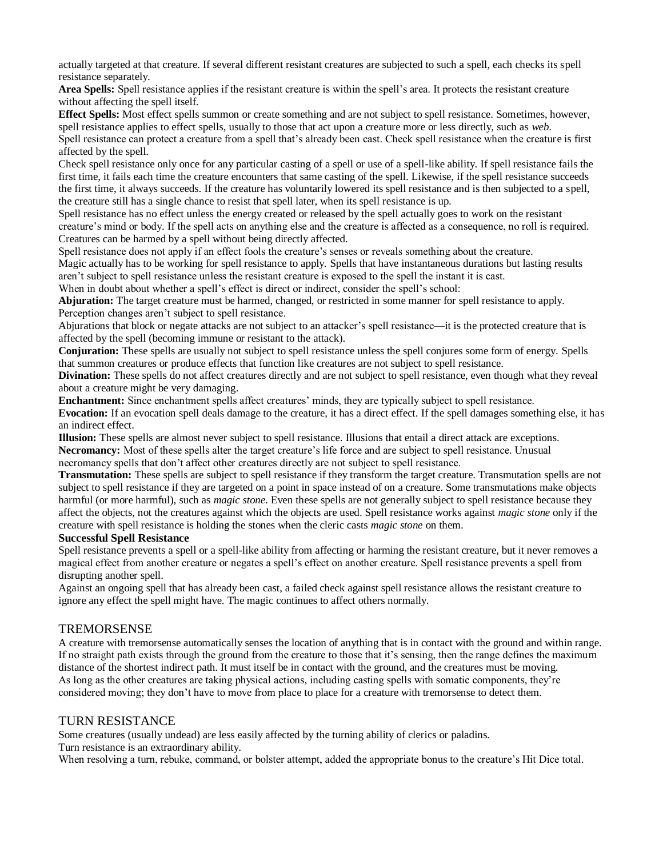actually targeted at that creature. If several different resistant creatures are subjected to such a spell, each checks its spell resistance separately.

**Area Spells:** Spell resistance applies if the resistant creature is within the spell's area. It protects the resistant creature without affecting the spell itself.

**Effect Spells:** Most effect spells summon or create something and are not subject to spell resistance. Sometimes, however, spell resistance applies to effect spells, usually to those that act upon a creature more or less directly, such as *web.*

Spell resistance can protect a creature from a spell that's already been cast. Check spell resistance when the creature is first affected by the spell.

Check spell resistance only once for any particular casting of a spell or use of a spell-like ability. If spell resistance fails the first time, it fails each time the creature encounters that same casting of the spell. Likewise, if the spell resistance succeeds the first time, it always succeeds. If the creature has voluntarily lowered its spell resistance and is then subjected to a spell, the creature still has a single chance to resist that spell later, when its spell resistance is up.

Spell resistance has no effect unless the energy created or released by the spell actually goes to work on the resistant creature's mind or body. If the spell acts on anything else and the creature is affected as a consequence, no roll is required. Creatures can be harmed by a spell without being directly affected.

Spell resistance does not apply if an effect fools the creature's senses or reveals something about the creature.

Magic actually has to be working for spell resistance to apply. Spells that have instantaneous durations but lasting results aren't subject to spell resistance unless the resistant creature is exposed to the spell the instant it is cast.

When in doubt about whether a spell's effect is direct or indirect, consider the spell's school:

**Abjuration:** The target creature must be harmed, changed, or restricted in some manner for spell resistance to apply. Perception changes aren't subject to spell resistance.

Abjurations that block or negate attacks are not subject to an attacker's spell resistance—it is the protected creature that is affected by the spell (becoming immune or resistant to the attack).

**Conjuration:** These spells are usually not subject to spell resistance unless the spell conjures some form of energy*.* Spells that summon creatures or produce effects that function like creatures are not subject to spell resistance.

**Divination:** These spells do not affect creatures directly and are not subject to spell resistance, even though what they reveal about a creature might be very damaging.

**Enchantment:** Since enchantment spells affect creatures' minds, they are typically subject to spell resistance.

**Evocation:** If an evocation spell deals damage to the creature, it has a direct effect. If the spell damages something else, it has an indirect effect.

**Illusion:** These spells are almost never subject to spell resistance. Illusions that entail a direct attack are exceptions. **Necromancy:** Most of these spells alter the target creature's life force and are subject to spell resistance. Unusual necromancy spells that don't affect other creatures directly are not subject to spell resistance.

**Transmutation:** These spells are subject to spell resistance if they transform the target creature. Transmutation spells are not subject to spell resistance if they are targeted on a point in space instead of on a creature. Some transmutations make objects harmful (or more harmful), such as *magic stone*. Even these spells are not generally subject to spell resistance because they affect the objects, not the creatures against which the objects are used. Spell resistance works against *magic stone* only if the creature with spell resistance is holding the stones when the cleric casts *magic stone* on them.

#### **Successful Spell Resistance**

Spell resistance prevents a spell or a spell-like ability from affecting or harming the resistant creature, but it never removes a magical effect from another creature or negates a spell's effect on another creature. Spell resistance prevents a spell from disrupting another spell.

Against an ongoing spell that has already been cast, a failed check against spell resistance allows the resistant creature to ignore any effect the spell might have. The magic continues to affect others normally.

#### TREMORSENSE

A creature with tremorsense automatically senses the location of anything that is in contact with the ground and within range. If no straight path exists through the ground from the creature to those that it's sensing, then the range defines the maximum distance of the shortest indirect path. It must itself be in contact with the ground, and the creatures must be moving. As long as the other creatures are taking physical actions, including casting spells with somatic components, they're considered moving; they don't have to move from place to place for a creature with tremorsense to detect them.

#### TURN RESISTANCE

Some creatures (usually undead) are less easily affected by the turning ability of clerics or paladins. Turn resistance is an extraordinary ability.

When resolving a turn, rebuke, command, or bolster attempt, added the appropriate bonus to the creature's Hit Dice total.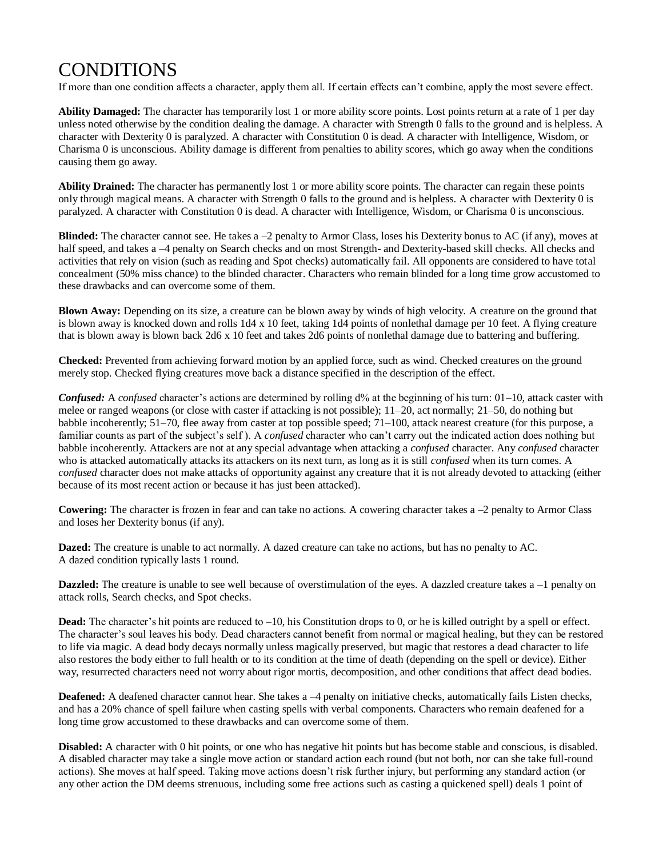# CONDITIONS

If more than one condition affects a character, apply them all. If certain effects can't combine, apply the most severe effect.

**Ability Damaged:** The character has temporarily lost 1 or more ability score points. Lost points return at a rate of 1 per day unless noted otherwise by the condition dealing the damage. A character with Strength 0 falls to the ground and is helpless. A character with Dexterity 0 is paralyzed. A character with Constitution 0 is dead. A character with Intelligence, Wisdom, or Charisma 0 is unconscious. Ability damage is different from penalties to ability scores, which go away when the conditions causing them go away.

**Ability Drained:** The character has permanently lost 1 or more ability score points. The character can regain these points only through magical means. A character with Strength 0 falls to the ground and is helpless. A character with Dexterity 0 is paralyzed. A character with Constitution 0 is dead. A character with Intelligence, Wisdom, or Charisma 0 is unconscious.

**Blinded:** The character cannot see. He takes a –2 penalty to Armor Class, loses his Dexterity bonus to AC (if any), moves at half speed, and takes a  $-4$  penalty on Search checks and on most Strength- and Dexterity-based skill checks. All checks and activities that rely on vision (such as reading and Spot checks) automatically fail. All opponents are considered to have total concealment (50% miss chance) to the blinded character. Characters who remain blinded for a long time grow accustomed to these drawbacks and can overcome some of them.

**Blown Away:** Depending on its size, a creature can be blown away by winds of high velocity. A creature on the ground that is blown away is knocked down and rolls 1d4 x 10 feet, taking 1d4 points of nonlethal damage per 10 feet. A flying creature that is blown away is blown back 2d6 x 10 feet and takes 2d6 points of nonlethal damage due to battering and buffering.

**Checked:** Prevented from achieving forward motion by an applied force, such as wind. Checked creatures on the ground merely stop. Checked flying creatures move back a distance specified in the description of the effect.

*Confused:* A *confused* character's actions are determined by rolling d% at the beginning of his turn: 01–10, attack caster with melee or ranged weapons (or close with caster if attacking is not possible); 11–20, act normally; 21–50, do nothing but babble incoherently; 51–70, flee away from caster at top possible speed; 71–100, attack nearest creature (for this purpose, a familiar counts as part of the subject's self ). A *confused* character who can't carry out the indicated action does nothing but babble incoherently. Attackers are not at any special advantage when attacking a *confused* character. Any *confused* character who is attacked automatically attacks its attackers on its next turn, as long as it is still *confused* when its turn comes. A *confused* character does not make attacks of opportunity against any creature that it is not already devoted to attacking (either because of its most recent action or because it has just been attacked).

**Cowering:** The character is frozen in fear and can take no actions. A cowering character takes a –2 penalty to Armor Class and loses her Dexterity bonus (if any).

**Dazed:** The creature is unable to act normally. A dazed creature can take no actions, but has no penalty to AC. A dazed condition typically lasts 1 round.

**Dazzled:** The creature is unable to see well because of overstimulation of the eyes. A dazzled creature takes a  $-1$  penalty on attack rolls, Search checks, and Spot checks.

**Dead:** The character's hit points are reduced to –10, his Constitution drops to 0, or he is killed outright by a spell or effect. The character's soul leaves his body. Dead characters cannot benefit from normal or magical healing, but they can be restored to life via magic. A dead body decays normally unless magically preserved, but magic that restores a dead character to life also restores the body either to full health or to its condition at the time of death (depending on the spell or device). Either way, resurrected characters need not worry about rigor mortis, decomposition, and other conditions that affect dead bodies.

**Deafened:** A deafened character cannot hear. She takes a –4 penalty on initiative checks, automatically fails Listen checks, and has a 20% chance of spell failure when casting spells with verbal components. Characters who remain deafened for a long time grow accustomed to these drawbacks and can overcome some of them.

**Disabled:** A character with 0 hit points, or one who has negative hit points but has become stable and conscious, is disabled. A disabled character may take a single move action or standard action each round (but not both, nor can she take full-round actions). She moves at half speed. Taking move actions doesn't risk further injury, but performing any standard action (or any other action the DM deems strenuous, including some free actions such as casting a quickened spell) deals 1 point of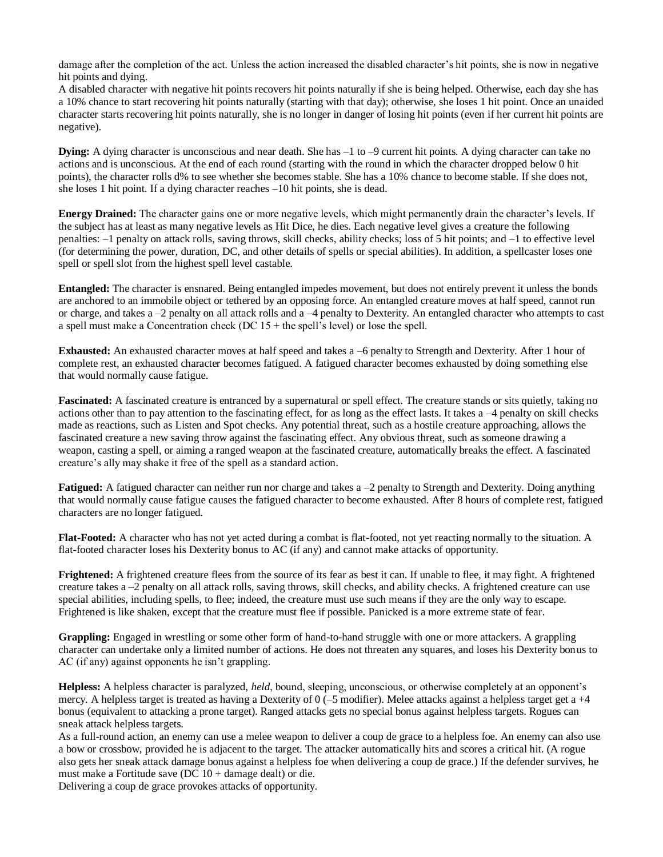damage after the completion of the act. Unless the action increased the disabled character's hit points, she is now in negative hit points and dying.

A disabled character with negative hit points recovers hit points naturally if she is being helped. Otherwise, each day she has a 10% chance to start recovering hit points naturally (starting with that day); otherwise, she loses 1 hit point. Once an unaided character starts recovering hit points naturally, she is no longer in danger of losing hit points (even if her current hit points are negative).

**Dying:** A dying character is unconscious and near death. She has  $-1$  to  $-9$  current hit points. A dying character can take no actions and is unconscious. At the end of each round (starting with the round in which the character dropped below 0 hit points), the character rolls d% to see whether she becomes stable. She has a 10% chance to become stable. If she does not, she loses 1 hit point. If a dying character reaches –10 hit points, she is dead.

**Energy Drained:** The character gains one or more negative levels, which might permanently drain the character's levels. If the subject has at least as many negative levels as Hit Dice, he dies. Each negative level gives a creature the following penalties: –1 penalty on attack rolls, saving throws, skill checks, ability checks; loss of 5 hit points; and –1 to effective level (for determining the power, duration, DC, and other details of spells or special abilities). In addition, a spellcaster loses one spell or spell slot from the highest spell level castable.

**Entangled:** The character is ensnared. Being entangled impedes movement, but does not entirely prevent it unless the bonds are anchored to an immobile object or tethered by an opposing force. An entangled creature moves at half speed, cannot run or charge, and takes a –2 penalty on all attack rolls and a –4 penalty to Dexterity. An entangled character who attempts to cast a spell must make a Concentration check (DC  $15 +$  the spell's level) or lose the spell.

**Exhausted:** An exhausted character moves at half speed and takes a –6 penalty to Strength and Dexterity. After 1 hour of complete rest, an exhausted character becomes fatigued. A fatigued character becomes exhausted by doing something else that would normally cause fatigue.

**Fascinated:** A fascinated creature is entranced by a supernatural or spell effect. The creature stands or sits quietly, taking no actions other than to pay attention to the fascinating effect, for as long as the effect lasts. It takes a –4 penalty on skill checks made as reactions, such as Listen and Spot checks. Any potential threat, such as a hostile creature approaching, allows the fascinated creature a new saving throw against the fascinating effect. Any obvious threat, such as someone drawing a weapon, casting a spell, or aiming a ranged weapon at the fascinated creature, automatically breaks the effect. A fascinated creature's ally may shake it free of the spell as a standard action.

**Fatigued:** A fatigued character can neither run nor charge and takes a –2 penalty to Strength and Dexterity. Doing anything that would normally cause fatigue causes the fatigued character to become exhausted. After 8 hours of complete rest, fatigued characters are no longer fatigued.

**Flat-Footed:** A character who has not yet acted during a combat is flat-footed, not yet reacting normally to the situation. A flat-footed character loses his Dexterity bonus to AC (if any) and cannot make attacks of opportunity.

**Frightened:** A frightened creature flees from the source of its fear as best it can. If unable to flee, it may fight. A frightened creature takes a –2 penalty on all attack rolls, saving throws, skill checks, and ability checks. A frightened creature can use special abilities, including spells, to flee; indeed, the creature must use such means if they are the only way to escape. Frightened is like shaken, except that the creature must flee if possible. Panicked is a more extreme state of fear.

**Grappling:** Engaged in wrestling or some other form of hand-to-hand struggle with one or more attackers. A grappling character can undertake only a limited number of actions. He does not threaten any squares, and loses his Dexterity bonus to AC (if any) against opponents he isn't grappling.

**Helpless:** A helpless character is paralyzed, *held*, bound, sleeping, unconscious, or otherwise completely at an opponent's mercy. A helpless target is treated as having a Dexterity of 0 (–5 modifier). Melee attacks against a helpless target get a +4 bonus (equivalent to attacking a prone target). Ranged attacks gets no special bonus against helpless targets. Rogues can sneak attack helpless targets.

As a full-round action, an enemy can use a melee weapon to deliver a coup de grace to a helpless foe. An enemy can also use a bow or crossbow, provided he is adjacent to the target. The attacker automatically hits and scores a critical hit. (A rogue also gets her sneak attack damage bonus against a helpless foe when delivering a coup de grace.) If the defender survives, he must make a Fortitude save (DC  $10 + \text{ damage dealt}$ ) or die.

Delivering a coup de grace provokes attacks of opportunity.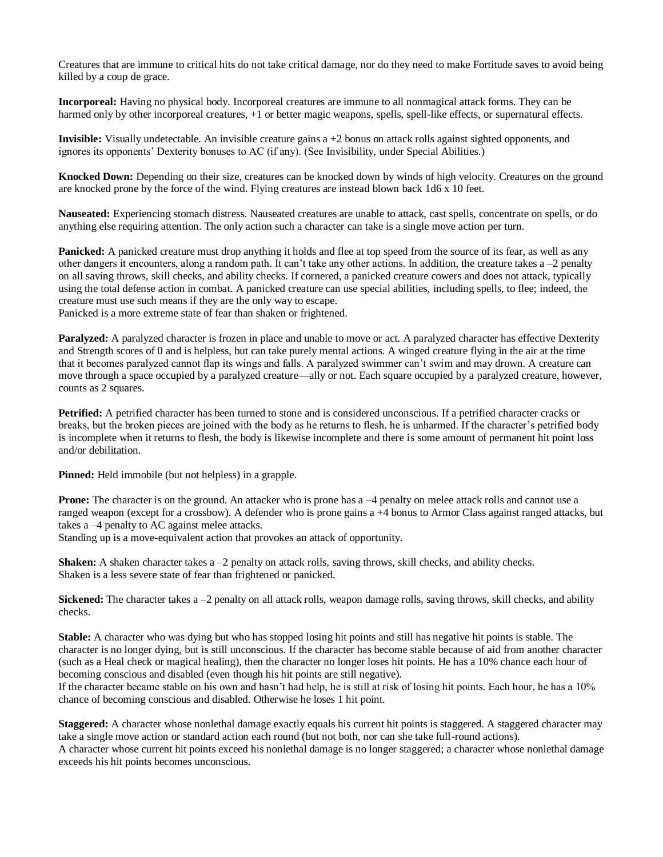Creatures that are immune to critical hits do not take critical damage, nor do they need to make Fortitude saves to avoid being killed by a coup de grace.

**Incorporeal:** Having no physical body. Incorporeal creatures are immune to all nonmagical attack forms. They can be harmed only by other incorporeal creatures, +1 or better magic weapons, spells, spell-like effects, or supernatural effects.

**Invisible:** Visually undetectable. An invisible creature gains a +2 bonus on attack rolls against sighted opponents, and ignores its opponents' Dexterity bonuses to AC (if any). (See Invisibility, under Special Abilities.)

**Knocked Down:** Depending on their size, creatures can be knocked down by winds of high velocity. Creatures on the ground are knocked prone by the force of the wind. Flying creatures are instead blown back 1d6 x 10 feet.

**Nauseated:** Experiencing stomach distress. Nauseated creatures are unable to attack, cast spells, concentrate on spells, or do anything else requiring attention. The only action such a character can take is a single move action per turn.

**Panicked:** A panicked creature must drop anything it holds and flee at top speed from the source of its fear, as well as any other dangers it encounters, along a random path. It can't take any other actions. In addition, the creature takes a –2 penalty on all saving throws, skill checks, and ability checks. If cornered, a panicked creature cowers and does not attack, typically using the total defense action in combat. A panicked creature can use special abilities, including spells, to flee; indeed, the creature must use such means if they are the only way to escape.

Panicked is a more extreme state of fear than shaken or frightened.

**Paralyzed:** A paralyzed character is frozen in place and unable to move or act. A paralyzed character has effective Dexterity and Strength scores of 0 and is helpless, but can take purely mental actions. A winged creature flying in the air at the time that it becomes paralyzed cannot flap its wings and falls. A paralyzed swimmer can't swim and may drown. A creature can move through a space occupied by a paralyzed creature—ally or not. Each square occupied by a paralyzed creature, however, counts as 2 squares.

**Petrified:** A petrified character has been turned to stone and is considered unconscious. If a petrified character cracks or breaks, but the broken pieces are joined with the body as he returns to flesh, he is unharmed. If the character's petrified body is incomplete when it returns to flesh, the body is likewise incomplete and there is some amount of permanent hit point loss and/or debilitation.

**Pinned:** Held immobile (but not helpless) in a grapple.

**Prone:** The character is on the ground. An attacker who is prone has a  $-4$  penalty on melee attack rolls and cannot use a ranged weapon (except for a crossbow). A defender who is prone gains a +4 bonus to Armor Class against ranged attacks, but takes a –4 penalty to AC against melee attacks.

Standing up is a move-equivalent action that provokes an attack of opportunity.

**Shaken:** A shaken character takes a -2 penalty on attack rolls, saving throws, skill checks, and ability checks. Shaken is a less severe state of fear than frightened or panicked.

**Sickened:** The character takes a –2 penalty on all attack rolls, weapon damage rolls, saving throws, skill checks, and ability checks.

**Stable:** A character who was dying but who has stopped losing hit points and still has negative hit points is stable. The character is no longer dying, but is still unconscious. If the character has become stable because of aid from another character (such as a Heal check or magical healing), then the character no longer loses hit points. He has a 10% chance each hour of becoming conscious and disabled (even though his hit points are still negative).

If the character became stable on his own and hasn't had help, he is still at risk of losing hit points. Each hour, he has a 10% chance of becoming conscious and disabled. Otherwise he loses 1 hit point.

**Staggered:** A character whose nonlethal damage exactly equals his current hit points is staggered. A staggered character may take a single move action or standard action each round (but not both, nor can she take full-round actions). A character whose current hit points exceed his nonlethal damage is no longer staggered; a character whose nonlethal damage exceeds his hit points becomes unconscious.